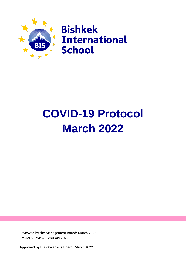

# **COVID-19 Protocol March 2022**

Reviewed by the Management Board: March 2022 Previous Review: February 2022

**Approved by the Governing Board: March 2022**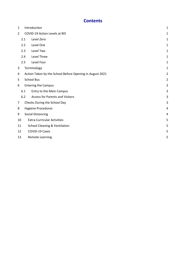## **Contents**

| 1                              |     | Introduction                                             | $\mathbf{1}$   |
|--------------------------------|-----|----------------------------------------------------------|----------------|
| $\overline{2}$                 |     | <b>COVID-19 Action Levels at BIS</b>                     | 1              |
|                                | 2.1 | Level Zero                                               | 1              |
|                                | 2.2 | Level One                                                | 1              |
|                                | 2.3 | Level Two                                                | $\mathbf{1}$   |
|                                | 2.4 | Level Three                                              | 1              |
|                                | 2.5 | Level Four                                               | 1              |
| 3                              |     | Terminology                                              | $\mathbf{1}$   |
| 4                              |     | Action Taken by the School Before Opening in August 2021 | $\overline{2}$ |
| 5                              |     | <b>School Bus</b>                                        | $\overline{2}$ |
| 6                              |     | <b>Entering the Campus</b>                               | 3              |
|                                | 6.1 | Entry to the Main Campus                                 | 3              |
|                                | 6.2 | <b>Access for Parents and Visitors</b>                   | 3              |
| 7                              |     | Checks During the School Day                             | 3              |
| <b>Hygiene Procedures</b><br>8 |     |                                                          | 4              |
| 9                              |     | <b>Social Distancing</b>                                 | 4              |
| 10                             |     | <b>Extra-Curricular Activities</b>                       | 5              |
| 11                             |     | <b>School Cleaning &amp; Ventilation</b>                 | 5              |
| 12                             |     | COVID-19 Cases                                           | 5              |
| 13                             |     | <b>Remote Learning</b>                                   | 5              |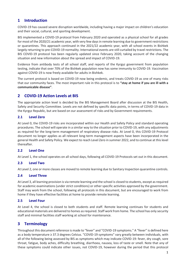## <span id="page-2-0"></span>**1 Introduction**

COVID-19 has caused severe disruption worldwide, including having a major impact on children's education and their social, cultural, and sporting development.

BIS implemented a COVID-19 protocol from February 2020 and operated as a physical school for all grades for most of the 2020/21 academic year, with very few days in remote learning due to government restrictions or quarantines. This approach continued in the 2021/22 academic year, with all school events in Bishkek largely returning to pre-COVID-19 normality. International events are still curtailed by travel restrictions. The BIS COVID-19 protocol has been regularly updated since February 2020, taking account of the changing situation and new information about the spread and impact of COVID-19.

Evidence from antibody tests of all school staff, and reports of the Kyrgyz government from population testing, indicate that over 70% of the Bishkek population now has some immunity to COVID-19. Vaccination against COVID-19 is now freely available for adults in Bishkek.

The current protocol is based on COVID-19 now being endemic, and treats COVID-19 as one of many risks that our community faces. The most important rule in this protocol is to **"stay at home if you are ill with a communicable disease"**.

## <span id="page-2-1"></span>**2 COVID-19 Action Levels at BIS**

The appropriate action level is decided by the BIS Management Board after discussion at the BIS Health, Safety and Security Committee. Levels are not defined by specific data points, in terms of COVID-19 data in the Kyrgyz Republic, but are based on our assessment of risks and by Government requirements.

#### <span id="page-2-2"></span>**2.1 Level Zero**

At Level 0, the COVID-19 risks are incorporated within our Health and Safety Policy and standard operating procedures. The school will operate in a similar way to the situation prior to COVID-19, with any adjustments as required for the long-term management of respiratory disease risks. At Level 0, this COVID-19 Protocol document no longer applies as all relevant long-term management aspects have been incorporated in the general Health and Safety Policy. We expect to reach Level Zero in summer 2022, and to continue at this level thereafter.

#### <span id="page-2-3"></span>**2.2 Level One**

At Level 1, the school operates on all school days, following all COVID-19 Protocols set out in this document.

#### <span id="page-2-4"></span>**2.3 Level Two**

At Level 2, one or more classes are moved to remote learning due to Sanitary Inspection quarantine controls.

#### <span id="page-2-5"></span>**2.4 Level Three**

At Level 3, all learning provision is via remote learning and the school is closed to students, except as required for academic examinations (under strict conditions) or other specific activities approved by the government. Staff may work from the school, following all protocols in this document, but are encouraged to work from home if they have effective facilities at home to provide remote learning.

#### <span id="page-2-6"></span>**2.5 Level Four**

At Level 4, the school is closed to both students and staff. Remote learning continues for students and educational materials are delivered to homes as required. Staff work from home. The school has only security staff and minimal facilities staff working at school for maintenance.

## <span id="page-2-7"></span>**3 Terminology**

Throughout this document reference is made to "fever" and "COVID-19 symptoms." A "fever" is defined here as a body temperature ≥ 37.3 degrees Celsius. "COVID-19 symptoms" vary greatly between individuals, with all of the following being assessed by BIS as symptoms which may indicate COVID-19: fever, dry cough, sore throat, fatigue, body aches, difficulty breathing, diarrhoea, nausea, loss of taste or smell. Note that any of these symptoms could indicate other issues, not COVID-19, however during the period that this protocol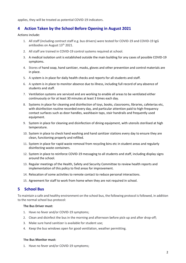applies, they will be treated as potential COVID-19 indicators.

## <span id="page-3-0"></span>**4 Action Taken by the School Before Opening in August 2021**

Actions include:

- 1. All staff (including contract staff e.g. bus drivers) were tested for COVID-19 and COVID-19 IgG antibodies on August 13<sup>th</sup> 2021.
- 2. All staff are trained in COVID-19 control systems required at school.
- 3. A medical isolation unit is established outside the main building for any cases of possible COVID-19 symptoms.
- 4. Stores of hand soap, hand sanitizer, masks, gloves and other prevention and control materials are in place.
- 5. A system is in place for daily health checks and reports for all students and staff.
- 6. A system is in place to monitor absence due to illness, including full record of any absence of students and staff.
- 7. Ventilation systems are serviced and are working to enable all areas to be ventilated either continuously or for at least 30 minutes at least 3 times each day.
- 8. Systems in place for cleaning and disinfection of toys, books, classrooms, libraries, cafeterias etc, with disinfection routine recorded every day, and particular attention paid to high-frequency contact surfaces such as door handles, washbasin taps, stair handrails and frequently used equipment.
- 9. System in place for cleaning and disinfection of dining equipment, with utensils sterilised at high temperature.
- 10. System in place to check hand washing and hand sanitizer stations every day to ensure they are clean, functioning properly and refilled.
- 11. System in place for rapid waste removal from recycling bins etc in student areas and regularly disinfecting waste containers.
- 12. System in place to reinforce COVID-19 messaging to all students and staff, including display signs around the school.
- 13. Regular meetings of the Health, Safety and Security Committee to review health reports and implementation of this policy to find areas for improvement.
- 14. Relocation of some activities to remote contact to reduce personal interactions.
- 15. Agreement for staff to work from home when they are not required in school.

## <span id="page-3-1"></span>**5 School Bus**

To maintain a safe and healthy environment on the school bus, the following protocol is followed, in addition to the normal school bus protocol:

#### **The Bus Driver must:**

- 1. Have no fever and/or COVID-19 symptoms;
- 2. Clean and disinfect the bus in the morning and afternoon before pick-up and after drop-off;
- 3. Make sure hand sanitizer is available for student use;
- 4. Keep the bus windows open for good ventilation, weather permitting.

#### **The Bus Monitor must:**

1. Have no fever and/or COVID-19 symptoms;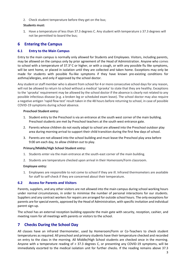2. Check student temperature before they get on the bus;

#### **Students must:**

1. Have a temperature of less than 37.3 degrees C. Any student with temperature ≥ 37.3 degrees will not be permitted to board the bus;

### <span id="page-4-0"></span>**6 Entering the Campus**

#### <span id="page-4-1"></span>**6.1 Entry to the Main Campus**

Entry to the main campus is normally only allowed for Students and Employees. Visitors, including parents, may be allowed on the campus only by prior agreement of the Head of Administration. Anyone who comes to school with a temperature of 37.3 $\degree$ C or higher, or with a cough, or with any possible flu like symptoms, will be sent home, or placed in isolation until they are collected and taken home. Exceptions may only be made for students with possible flu-like symptoms if they have known pre-existing conditions for asthma/allergies, and only if approved by the school doctor.

Any student or staff member who is absent from school for 4 or more consecutive school days for any reason, will not be allowed to return to school without a medical 'spravka' to state that they are healthy. Exceptions to the 'spravka' requirement may be allowed by the school doctor if the absence is clearly not related to any possible infectious disease (e.g. a broken leg or scheduled exam leave). The school doctor may also require a negative antigen 'rapid flow test' result taken in the 48 hours before returning to school, in case of possible COVID-19 symptoms during school absence.

#### **Preschool Student entry:**

- 1. Student entry to the Preschool is via an entrance at the south west corner of the main building. Preschool students are met by Preschool teachers at the south west entrance gate.
- 2. Parents whose children do not easily adapt to school are allowed into the Preschool outdoor play area during morning arrival to support their child transition during the first few days of school.
- 3. Parents are not allowed into the school building and must leave the Preschool play area before 9:00 am each day, to allow children out to play.

#### **Primary/Middle/High School Student entry:**

- 1. Students enter via the main entrance at the south-east corner of the main building.
- 2. Students are temperature checked upon arrival in their Homeroom/Form classroom.

#### **Employee entry:**

1. Employees are responsible to not come to school if they are ill. Infrared thermometers are available for staff to self-check if they are concerned about their temperature.

#### <span id="page-4-2"></span>**6.2 Access for Parents and Visitors**

Parents, suppliers, and any other visitors are not allowed into the main campus during school working hours under normal circumstances, in order to minimise the number of personal interactions for our students. Suppliers and any contract workers for repairs are arranged for outside school hours. The only exceptions for parents are for special events, approved by the Head of Administration, with specific invitation and individual parent sign-up.

The school has an external reception building opposite the main gate with security, reception, cashier, and meeting room for all meetings with parents or visitors to the school.

## <span id="page-4-3"></span>**7 Checks During the School Day**

All classes have an infrared thermometer, used by Homeroom/Form or Co-Teachers to check student temperatures as required. All preschool and primary students have their temperature checked and recorded on entry to the class in the morning. All Middle/High School students are checked once in the morning. Anyone with a temperature reading of ≥ 37.3 degrees C, or presenting any COVID-19 symptoms, will be immediately escorted to the medical isolation unit for further checks. If the reading remains above 37.3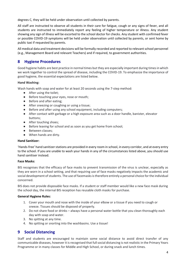degrees C, they will be held under observation until collected by parents.

All staff are instructed to observe all students in their care for fatigue, cough or any signs of fever, and all students are instructed to immediately report any feeling of higher temperature or illness. Any student showing any sign of illness will be escorted to the school doctor for checks. Any student with confirmed fever or possible COVID-19 symptoms will be held under observation until collected by parents, or sent home by public taxi if requested by parents.

All medical data and treatment decisions will be formally recorded and reported to relevant school personnel (e.g., Management Board and relevant Teachers) and if required, to government authorities.

## <span id="page-5-0"></span>**8 Hygiene Procedures**

Good hygiene habits are best practice in normal times but they are especially important during times in which we work together to control the spread of disease, including the COVID-19. To emphasize the importance of good hygiene, the essential expectations are listed below.

#### **Hand Washing:**

Wash hands with soap and water for at least 20 seconds using the 7-step method:

- After using the toilet;
- Before touching your eyes, nose or mouth;
- Before and after eating;
- After sneezing or coughing or using a tissue;
- Before and after using any school equipment, including computers;
- After contact with garbage or a high exposure area such as a door handle, banister, elevator buttons;
- After touching shoes;
- Before leaving for school and as soon as you get home from school;
- Between classes:
- When hands are dirty.

#### **Hand Sanitizer:**

'Hands-free' hand sanitizer stations are provided in every room in school, in every corridor, and at every entry to the school. If you are unable to wash your hands in any of the circumstances listed above, you should use hand sanitiser instead.

#### **Face Masks:**

BIS recognises that the efficacy of face masks to prevent transmission of the virus is unclear, especially as they are worn in a school setting, and that requiring use of face masks negatively impacts the academic and social development of students. The use of facemasks is therefore entirely a personal choice for the individual concerned.

BIS does not provide disposable face masks. If a student or staff member would like a new face mask during the school day, the internal BIS reception has reusable cloth masks for purchase.

#### **General Hygiene Rules:**

- 1. Cover your mouth and nose with the inside of your elbow or a tissue if you need to cough or sneeze. Tissues should be disposed of properly.
- 2. Do not share food or drinks always have a personal water bottle that you clean thoroughly each day with soap and water.
- 3. No spitting at any time.
- 4. No spitting or snorting into the washbasins. Use a tissue!

## <span id="page-5-1"></span>**9 Social Distancing**

Staff and students are encouraged to maintain some social distance to avoid direct transfer of any communicable diseases, however it is recognised that full social distancing is not realistic in the Primary Years Programme or in many classes for Middle and High School, or during snack and lunch times.